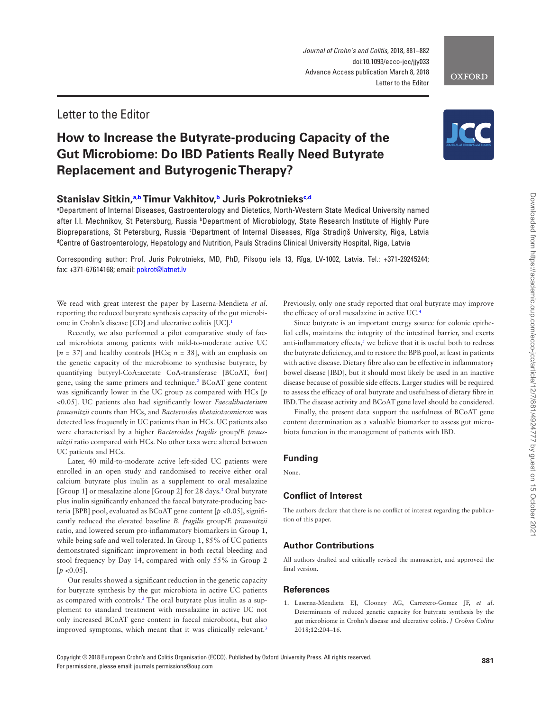Copyright © 2018 European Crohn's and Colitis Organisation (ECCO). Published by Oxford University Press. All rights reserved. For permissions, please email: journals.permissions@oup.com

*Journal of Crohn's and Colitis*, 2018, 881–882 doi:10.1093/ecco-jcc/jjy033 Advance Access publication March 8, 2018 Letter to the Editor

# Letter to the Editor

# **How to Increase the Butyrate-producing Capacity of the Gut Microbiome: Do IBD Patients Really Need Butyrate Replacement and Butyrogenic Therapy?**

### **Stanislav Sitkin,[a](#page-0-0)[,b](#page-0-1) Timur Vakhitov,[b](#page-0-1) Juris Pokrotniek[sc](#page-0-2)[,d](#page-0-3)**

<span id="page-0-2"></span><span id="page-0-1"></span><span id="page-0-0"></span>a Department of Internal Diseases, Gastroenterology and Dietetics, North-Western State Medical University named after I.I. Mechnikov, St Petersburg, Russia <sup>b</sup>Department of Microbiology, State Research Institute of Highly Pure Biopreparations, St Petersburg, Russia °Department of Internal Diseases, Rīga Stradiņš University, Riga, Latvia d Centre of Gastroenterology, Hepatology and Nutrition, Pauls Stradins Clinical University Hospital, Riga, Latvia

<span id="page-0-3"></span>Corresponding author: Prof. Juris Pokrotnieks, MD, PhD, Pilsoņu iela 13, Rīga, LV-1002, Latvia. Tel.: +371-29245244; fax: +371-67614168; email: [pokrot@latnet.lv](mailto:pokrot@latnet.lv?subject=)

We read with great interest the paper by Laserna-Mendieta *et al*. reporting the reduced butyrate synthesis capacity of the gut microbiome in Crohn's disease [CD] and ulcerative colitis [UC][.1](#page-0-4)

Recently, we also performed a pilot comparative study of faecal microbiota among patients with mild-to-moderate active UC  $[n = 37]$  and healthy controls [HCs;  $n = 38$ ], with an emphasis on the genetic capacity of the microbiome to synthesise butyrate, by quantifying butyryl-CoA:acetate CoA-transferase [BCoAT, *but*] gene, using the same primers and technique.<sup>[2](#page-1-0)</sup> BCoAT gene content was significantly lower in the UC group as compared with HCs [*p* <0.05]. UC patients also had significantly lower *Faecalibacterium prausnitzii* counts than HCs, and *Bacteroides thetaiotaomicron* was detected less frequently in UC patients than in HCs. UC patients also were characterised by a higher *Bacteroides fragilis* group/*F. prausnitzii* ratio compared with HCs. No other taxa were altered between UC patients and HCs.

Later, 40 mild-to-moderate active left-sided UC patients were enrolled in an open study and randomised to receive either oral calcium butyrate plus inulin as a supplement to oral mesalazine [Group 1] or mesalazine alone [Group 2] for 28 days.<sup>[3](#page-1-1)</sup> Oral butyrate plus inulin significantly enhanced the faecal butyrate-producing bacteria [BPB] pool, evaluated as BCoAT gene content [*p* <0.05], significantly reduced the elevated baseline *B. fragilis* group/*F. prausnitzii* ratio, and lowered serum pro-inflammatory biomarkers in Group 1, while being safe and well tolerated. In Group 1, 85% of UC patients demonstrated significant improvement in both rectal bleeding and stool frequency by Day 14, compared with only 55% in Group 2  $[p \le 0.05]$ .

Our results showed a significant reduction in the genetic capacity for butyrate synthesis by the gut microbiota in active UC patients as compared with controls.<sup>2</sup> The oral butyrate plus inulin as a supplement to standard treatment with mesalazine in active UC not only increased BCoAT gene content in faecal microbiota, but also improved symptoms, which meant that it was clinically relevant.<sup>[3](#page-1-1)</sup>

Previously, only one study reported that oral butyrate may improve the efficacy of oral mesalazine in active UC.[4](#page-1-2)

Since butyrate is an important energy source for colonic epithelial cells, maintains the integrity of the intestinal barrier, and exerts anti-inflammatory effects, $\frac{s}{s}$  we believe that it is useful both to redress the butyrate deficiency, and to restore the BPB pool, at least in patients with active disease. Dietary fibre also can be effective in inflammatory bowel disease [IBD], but it should most likely be used in an inactive disease because of possible side effects. Larger studies will be required to assess the efficacy of oral butyrate and usefulness of dietary fibre in IBD. The disease activity and BCoAT gene level should be considered.

Finally, the present data support the usefulness of BCoAT gene content determination as a valuable biomarker to assess gut microbiota function in the management of patients with IBD.

#### **Funding**

None.

### **Conflict of Interest**

The authors declare that there is no conflict of interest regarding the publication of this paper.

## **Author Contributions**

All authors drafted and critically revised the manuscript, and approved the final version.

#### **References**

<span id="page-0-4"></span>1. Laserna-Mendieta EJ, Clooney AG, Carretero-Gomez JF, *et al*. Determinants of reduced genetic capacity for butyrate synthesis by the gut microbiome in Crohn's disease and ulcerative colitis. *J Crohns Colitis* 2018;**12**:204–16.

**OXFORD**